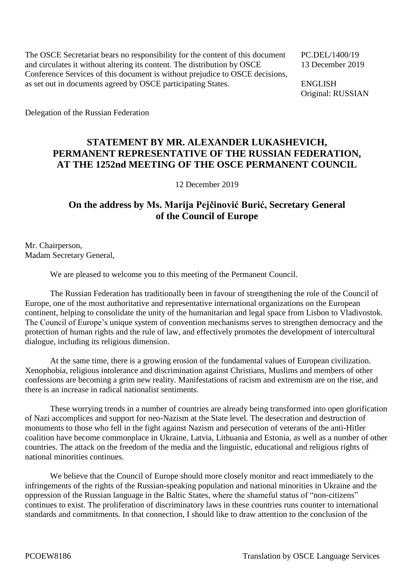The OSCE Secretariat bears no responsibility for the content of this document PC.DEL/1400/19 and circulates it without altering its content. The distribution by OSCE 13 December 2019 Conference Services of this document is without prejudice to OSCE decisions, as set out in documents agreed by OSCE participating States. ENGLISH

Original: RUSSIAN

Delegation of the Russian Federation

## **STATEMENT BY MR. ALEXANDER LUKASHEVICH, PERMANENT REPRESENTATIVE OF THE RUSSIAN FEDERATION, AT THE 1252nd MEETING OF THE OSCE PERMANENT COUNCIL**

12 December 2019

## **On the address by Ms. Marija Pejčinović Burić, Secretary General of the Council of Europe**

Mr. Chairperson, Madam Secretary General,

We are pleased to welcome you to this meeting of the Permanent Council.

The Russian Federation has traditionally been in favour of strengthening the role of the Council of Europe, one of the most authoritative and representative international organizations on the European continent, helping to consolidate the unity of the humanitarian and legal space from Lisbon to Vladivostok. The Council of Europe's unique system of convention mechanisms serves to strengthen democracy and the protection of human rights and the rule of law, and effectively promotes the development of intercultural dialogue, including its religious dimension.

At the same time, there is a growing erosion of the fundamental values of European civilization. Xenophobia, religious intolerance and discrimination against Christians, Muslims and members of other confessions are becoming a grim new reality. Manifestations of racism and extremism are on the rise, and there is an increase in radical nationalist sentiments.

These worrying trends in a number of countries are already being transformed into open glorification of Nazi accomplices and support for neo-Nazism at the State level. The desecration and destruction of monuments to those who fell in the fight against Nazism and persecution of veterans of the anti-Hitler coalition have become commonplace in Ukraine, Latvia, Lithuania and Estonia, as well as a number of other countries. The attack on the freedom of the media and the linguistic, educational and religious rights of national minorities continues.

We believe that the Council of Europe should more closely monitor and react immediately to the infringements of the rights of the Russian-speaking population and national minorities in Ukraine and the oppression of the Russian language in the Baltic States, where the shameful status of "non-citizens" continues to exist. The proliferation of discriminatory laws in these countries runs counter to international standards and commitments. In that connection, I should like to draw attention to the conclusion of the